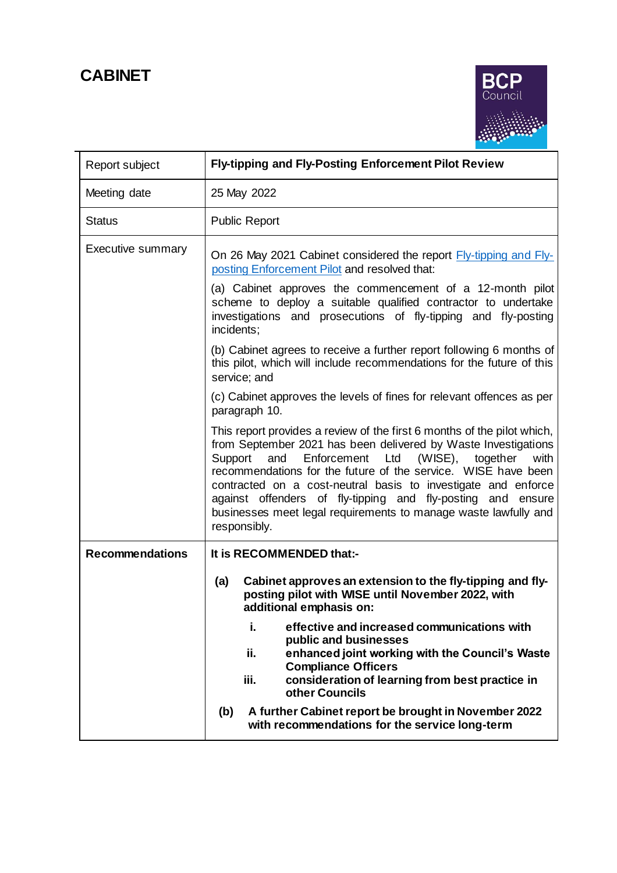# **CABINET**



| Report subject           | <b>Fly-tipping and Fly-Posting Enforcement Pilot Review</b>                                                                                                                                                                                                                                                                                                                                                                                                                                                |
|--------------------------|------------------------------------------------------------------------------------------------------------------------------------------------------------------------------------------------------------------------------------------------------------------------------------------------------------------------------------------------------------------------------------------------------------------------------------------------------------------------------------------------------------|
| Meeting date             | 25 May 2022                                                                                                                                                                                                                                                                                                                                                                                                                                                                                                |
| <b>Status</b>            | <b>Public Report</b>                                                                                                                                                                                                                                                                                                                                                                                                                                                                                       |
| <b>Executive summary</b> | On 26 May 2021 Cabinet considered the report Fly-tipping and Fly-<br>posting Enforcement Pilot and resolved that:<br>(a) Cabinet approves the commencement of a 12-month pilot<br>scheme to deploy a suitable qualified contractor to undertake<br>investigations and prosecutions of fly-tipping and fly-posting<br>incidents;                                                                                                                                                                            |
|                          | (b) Cabinet agrees to receive a further report following 6 months of<br>this pilot, which will include recommendations for the future of this<br>service; and                                                                                                                                                                                                                                                                                                                                              |
|                          | (c) Cabinet approves the levels of fines for relevant offences as per<br>paragraph 10.                                                                                                                                                                                                                                                                                                                                                                                                                     |
|                          | This report provides a review of the first 6 months of the pilot which,<br>from September 2021 has been delivered by Waste Investigations<br>Enforcement<br>Ltd<br>$(WISE)$ ,<br>Support<br>and<br>together<br>with<br>recommendations for the future of the service. WISE have been<br>contracted on a cost-neutral basis to investigate and enforce<br>against offenders of fly-tipping and fly-posting<br>and ensure<br>businesses meet legal requirements to manage waste lawfully and<br>responsibly. |
| <b>Recommendations</b>   | It is RECOMMENDED that:-                                                                                                                                                                                                                                                                                                                                                                                                                                                                                   |
|                          | Cabinet approves an extension to the fly-tipping and fly-<br>(a)<br>posting pilot with WISE until November 2022, with<br>additional emphasis on:                                                                                                                                                                                                                                                                                                                                                           |
|                          | i.<br>effective and increased communications with<br>public and businesses<br>ii.<br>enhanced joint working with the Council's Waste<br><b>Compliance Officers</b><br>iii.<br>consideration of learning from best practice in<br>other Councils                                                                                                                                                                                                                                                            |
|                          | A further Cabinet report be brought in November 2022<br>(b)<br>with recommendations for the service long-term                                                                                                                                                                                                                                                                                                                                                                                              |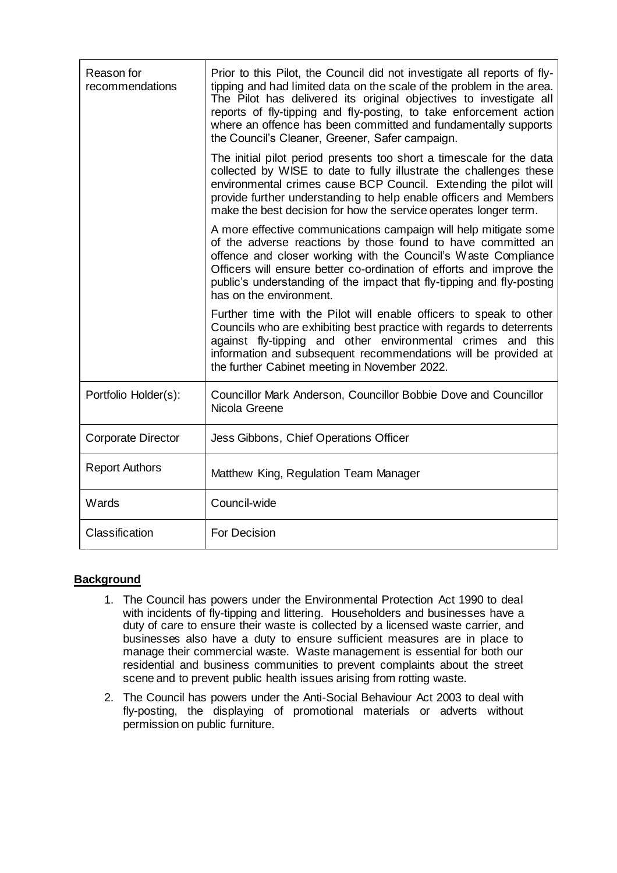| Reason for<br>recommendations | Prior to this Pilot, the Council did not investigate all reports of fly-<br>tipping and had limited data on the scale of the problem in the area.<br>The Pilot has delivered its original objectives to investigate all<br>reports of fly-tipping and fly-posting, to take enforcement action<br>where an offence has been committed and fundamentally supports<br>the Council's Cleaner, Greener, Safer campaign. |
|-------------------------------|--------------------------------------------------------------------------------------------------------------------------------------------------------------------------------------------------------------------------------------------------------------------------------------------------------------------------------------------------------------------------------------------------------------------|
|                               | The initial pilot period presents too short a timescale for the data<br>collected by WISE to date to fully illustrate the challenges these<br>environmental crimes cause BCP Council. Extending the pilot will<br>provide further understanding to help enable officers and Members<br>make the best decision for how the service operates longer term.                                                            |
|                               | A more effective communications campaign will help mitigate some<br>of the adverse reactions by those found to have committed an<br>offence and closer working with the Council's Waste Compliance<br>Officers will ensure better co-ordination of efforts and improve the<br>public's understanding of the impact that fly-tipping and fly-posting<br>has on the environment.                                     |
|                               | Further time with the Pilot will enable officers to speak to other<br>Councils who are exhibiting best practice with regards to deterrents<br>against fly-tipping and other environmental crimes and this<br>information and subsequent recommendations will be provided at<br>the further Cabinet meeting in November 2022.                                                                                       |
| Portfolio Holder(s):          | Councillor Mark Anderson, Councillor Bobbie Dove and Councillor<br>Nicola Greene                                                                                                                                                                                                                                                                                                                                   |
| <b>Corporate Director</b>     | Jess Gibbons, Chief Operations Officer                                                                                                                                                                                                                                                                                                                                                                             |
| <b>Report Authors</b>         | Matthew King, Regulation Team Manager                                                                                                                                                                                                                                                                                                                                                                              |
| Wards                         | Council-wide                                                                                                                                                                                                                                                                                                                                                                                                       |
| Classification                | <b>For Decision</b>                                                                                                                                                                                                                                                                                                                                                                                                |

## **Background**

- 1. The Council has powers under the Environmental Protection Act 1990 to deal with incidents of fly-tipping and littering. Householders and businesses have a duty of care to ensure their waste is collected by a licensed waste carrier, and businesses also have a duty to ensure sufficient measures are in place to manage their commercial waste. Waste management is essential for both our residential and business communities to prevent complaints about the street scene and to prevent public health issues arising from rotting waste.
- 2. The Council has powers under the Anti-Social Behaviour Act 2003 to deal with fly-posting, the displaying of promotional materials or adverts without permission on public furniture.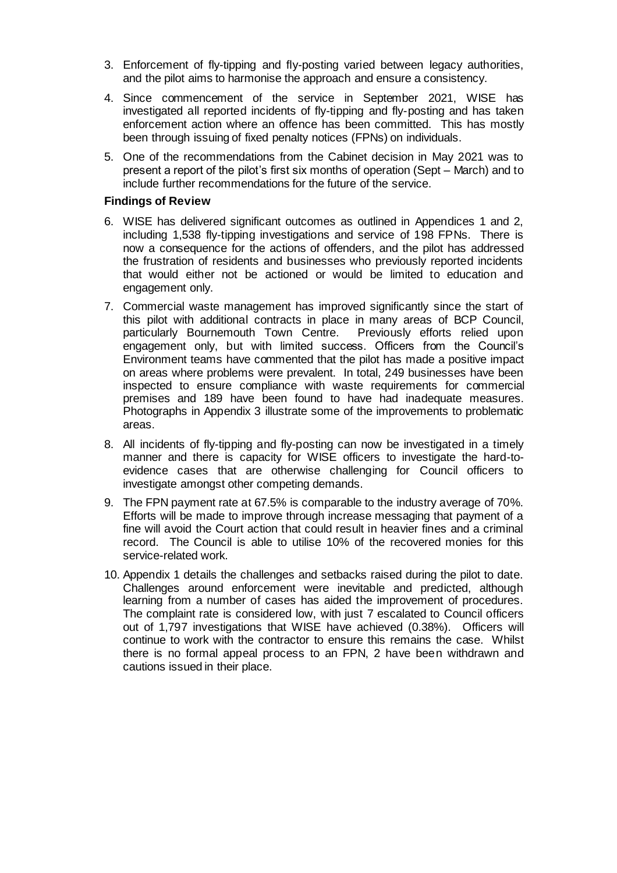- 3. Enforcement of fly-tipping and fly-posting varied between legacy authorities, and the pilot aims to harmonise the approach and ensure a consistency.
- 4. Since commencement of the service in September 2021, WISE has investigated all reported incidents of fly-tipping and fly-posting and has taken enforcement action where an offence has been committed. This has mostly been through issuing of fixed penalty notices (FPNs) on individuals.
- 5. One of the recommendations from the Cabinet decision in May 2021 was to present a report of the pilot's first six months of operation (Sept – March) and to include further recommendations for the future of the service.

## **Findings of Review**

- 6. WISE has delivered significant outcomes as outlined in Appendices 1 and 2, including 1,538 fly-tipping investigations and service of 198 FPNs. There is now a consequence for the actions of offenders, and the pilot has addressed the frustration of residents and businesses who previously reported incidents that would either not be actioned or would be limited to education and engagement only.
- 7. Commercial waste management has improved significantly since the start of this pilot with additional contracts in place in many areas of BCP Council, particularly Bournemouth Town Centre. Previously efforts relied upon engagement only, but with limited success. Officers from the Council's Environment teams have commented that the pilot has made a positive impact on areas where problems were prevalent. In total, 249 businesses have been inspected to ensure compliance with waste requirements for commercial premises and 189 have been found to have had inadequate measures. Photographs in Appendix 3 illustrate some of the improvements to problematic areas.
- 8. All incidents of fly-tipping and fly-posting can now be investigated in a timely manner and there is capacity for WISE officers to investigate the hard-toevidence cases that are otherwise challenging for Council officers to investigate amongst other competing demands.
- 9. The FPN payment rate at 67.5% is comparable to the industry average of 70%. Efforts will be made to improve through increase messaging that payment of a fine will avoid the Court action that could result in heavier fines and a criminal record. The Council is able to utilise 10% of the recovered monies for this service-related work.
- 10. Appendix 1 details the challenges and setbacks raised during the pilot to date. Challenges around enforcement were inevitable and predicted, although learning from a number of cases has aided the improvement of procedures. The complaint rate is considered low, with just 7 escalated to Council officers out of 1,797 investigations that WISE have achieved (0.38%). Officers will continue to work with the contractor to ensure this remains the case. Whilst there is no formal appeal process to an FPN, 2 have been withdrawn and cautions issued in their place.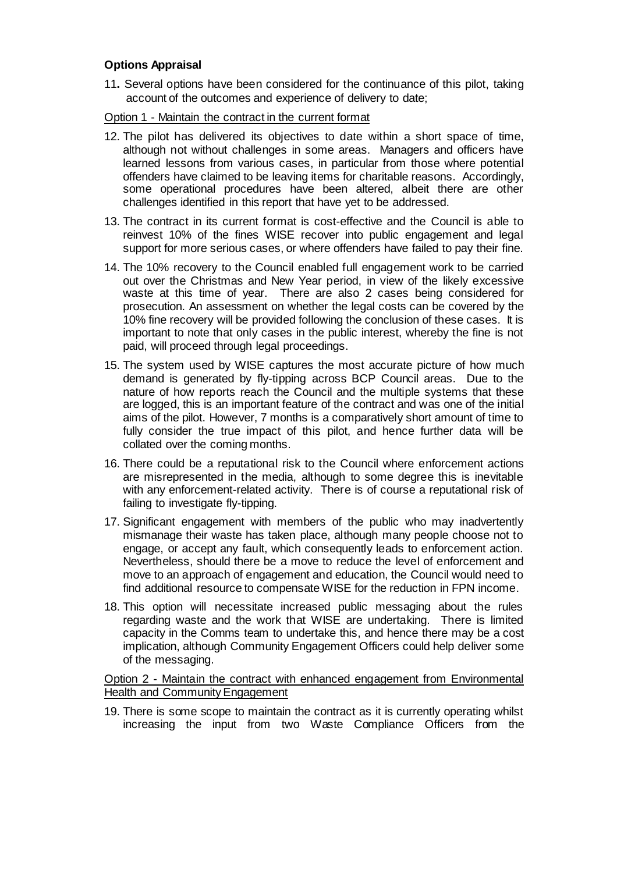## **Options Appraisal**

11**.** Several options have been considered for the continuance of this pilot, taking account of the outcomes and experience of delivery to date;

### Option 1 - Maintain the contract in the current format

- 12. The pilot has delivered its objectives to date within a short space of time, although not without challenges in some areas. Managers and officers have learned lessons from various cases, in particular from those where potential offenders have claimed to be leaving items for charitable reasons. Accordingly, some operational procedures have been altered, albeit there are other challenges identified in this report that have yet to be addressed.
- 13. The contract in its current format is cost-effective and the Council is able to reinvest 10% of the fines WISE recover into public engagement and legal support for more serious cases, or where offenders have failed to pay their fine.
- 14. The 10% recovery to the Council enabled full engagement work to be carried out over the Christmas and New Year period, in view of the likely excessive waste at this time of year. There are also 2 cases being considered for prosecution. An assessment on whether the legal costs can be covered by the 10% fine recovery will be provided following the conclusion of these cases. It is important to note that only cases in the public interest, whereby the fine is not paid, will proceed through legal proceedings.
- 15. The system used by WISE captures the most accurate picture of how much demand is generated by fly-tipping across BCP Council areas. Due to the nature of how reports reach the Council and the multiple systems that these are logged, this is an important feature of the contract and was one of the initial aims of the pilot. However, 7 months is a comparatively short amount of time to fully consider the true impact of this pilot, and hence further data will be collated over the coming months.
- 16. There could be a reputational risk to the Council where enforcement actions are misrepresented in the media, although to some degree this is inevitable with any enforcement-related activity. There is of course a reputational risk of failing to investigate fly-tipping.
- 17. Significant engagement with members of the public who may inadvertently mismanage their waste has taken place, although many people choose not to engage, or accept any fault, which consequently leads to enforcement action. Nevertheless, should there be a move to reduce the level of enforcement and move to an approach of engagement and education, the Council would need to find additional resource to compensate WISE for the reduction in FPN income.
- 18. This option will necessitate increased public messaging about the rules regarding waste and the work that WISE are undertaking. There is limited capacity in the Comms team to undertake this, and hence there may be a cost implication, although Community Engagement Officers could help deliver some of the messaging.

Option 2 - Maintain the contract with enhanced engagement from Environmental Health and Community Engagement

19. There is some scope to maintain the contract as it is currently operating whilst increasing the input from two Waste Compliance Officers from the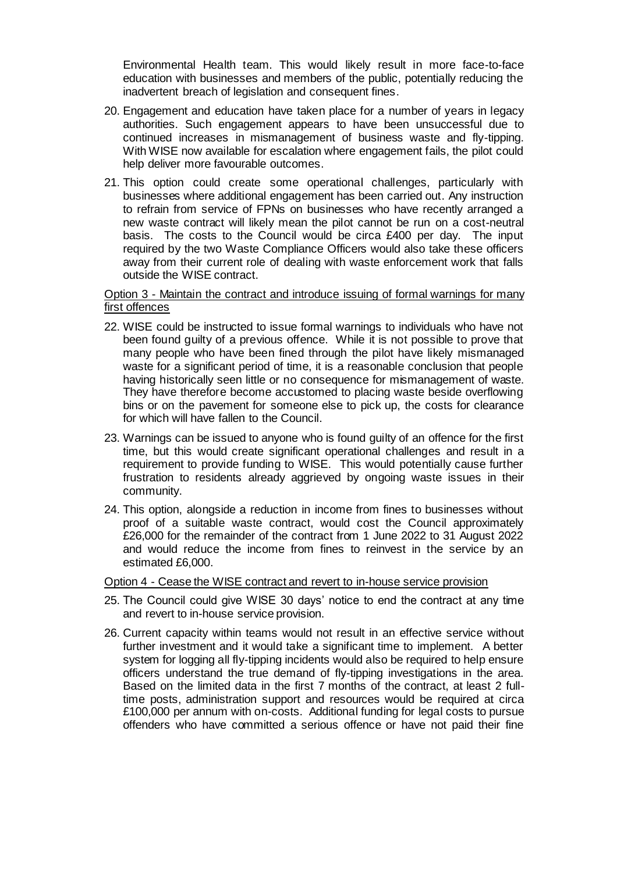Environmental Health team. This would likely result in more face-to-face education with businesses and members of the public, potentially reducing the inadvertent breach of legislation and consequent fines.

- 20. Engagement and education have taken place for a number of years in legacy authorities. Such engagement appears to have been unsuccessful due to continued increases in mismanagement of business waste and fly-tipping. With WISE now available for escalation where engagement fails, the pilot could help deliver more favourable outcomes.
- 21. This option could create some operational challenges, particularly with businesses where additional engagement has been carried out. Any instruction to refrain from service of FPNs on businesses who have recently arranged a new waste contract will likely mean the pilot cannot be run on a cost-neutral basis. The costs to the Council would be circa £400 per day. The input required by the two Waste Compliance Officers would also take these officers away from their current role of dealing with waste enforcement work that falls outside the WISE contract.

Option 3 - Maintain the contract and introduce issuing of formal warnings for many first offences

- 22. WISE could be instructed to issue formal warnings to individuals who have not been found guilty of a previous offence. While it is not possible to prove that many people who have been fined through the pilot have likely mismanaged waste for a significant period of time, it is a reasonable conclusion that people having historically seen little or no consequence for mismanagement of waste. They have therefore become accustomed to placing waste beside overflowing bins or on the pavement for someone else to pick up, the costs for clearance for which will have fallen to the Council.
- 23. Warnings can be issued to anyone who is found guilty of an offence for the first time, but this would create significant operational challenges and result in a requirement to provide funding to WISE. This would potentially cause further frustration to residents already aggrieved by ongoing waste issues in their community.
- 24. This option, alongside a reduction in income from fines to businesses without proof of a suitable waste contract, would cost the Council approximately £26,000 for the remainder of the contract from 1 June 2022 to 31 August 2022 and would reduce the income from fines to reinvest in the service by an estimated £6,000.

#### Option 4 - Cease the WISE contract and revert to in-house service provision

- 25. The Council could give WISE 30 days' notice to end the contract at any time and revert to in-house service provision.
- 26. Current capacity within teams would not result in an effective service without further investment and it would take a significant time to implement. A better system for logging all fly-tipping incidents would also be required to help ensure officers understand the true demand of fly-tipping investigations in the area. Based on the limited data in the first 7 months of the contract, at least 2 fulltime posts, administration support and resources would be required at circa £100,000 per annum with on-costs. Additional funding for legal costs to pursue offenders who have committed a serious offence or have not paid their fine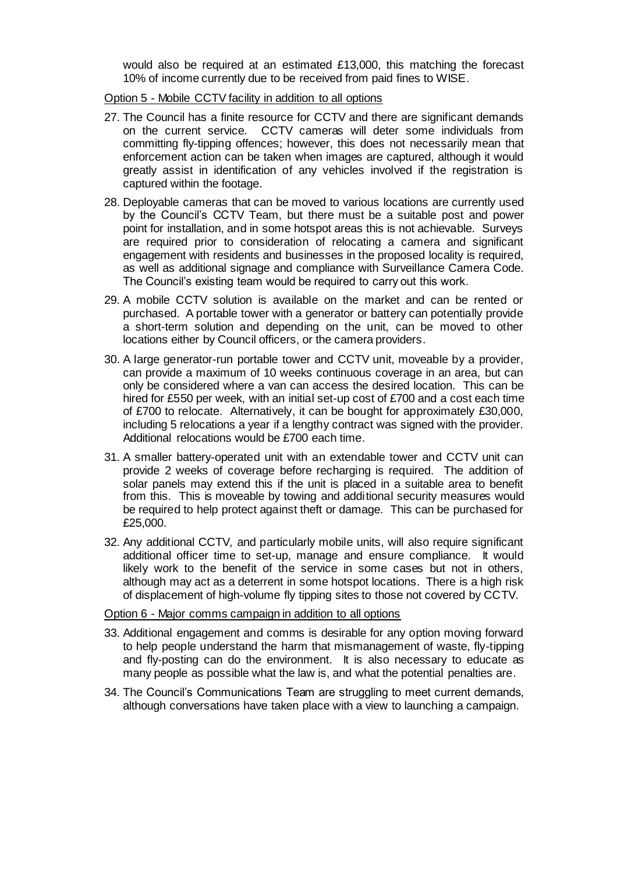would also be required at an estimated £13,000, this matching the forecast 10% of income currently due to be received from paid fines to WISE.

Option 5 - Mobile CCTV facility in addition to all options

- 27. The Council has a finite resource for CCTV and there are significant demands on the current service. CCTV cameras will deter some individuals from committing fly-tipping offences; however, this does not necessarily mean that enforcement action can be taken when images are captured, although it would greatly assist in identification of any vehicles involved if the registration is captured within the footage.
- 28. Deployable cameras that can be moved to various locations are currently used by the Council's CCTV Team, but there must be a suitable post and power point for installation, and in some hotspot areas this is not achievable. Surveys are required prior to consideration of relocating a camera and significant engagement with residents and businesses in the proposed locality is required, as well as additional signage and compliance with Surveillance Camera Code. The Council's existing team would be required to carry out this work.
- 29. A mobile CCTV solution is available on the market and can be rented or purchased. A portable tower with a generator or battery can potentially provide a short-term solution and depending on the unit, can be moved to other locations either by Council officers, or the camera providers.
- 30. A large generator-run portable tower and CCTV unit, moveable by a provider, can provide a maximum of 10 weeks continuous coverage in an area, but can only be considered where a van can access the desired location. This can be hired for £550 per week, with an initial set-up cost of £700 and a cost each time of £700 to relocate. Alternatively, it can be bought for approximately £30,000, including 5 relocations a year if a lengthy contract was signed with the provider. Additional relocations would be £700 each time.
- 31. A smaller battery-operated unit with an extendable tower and CCTV unit can provide 2 weeks of coverage before recharging is required. The addition of solar panels may extend this if the unit is placed in a suitable area to benefit from this. This is moveable by towing and additional security measures would be required to help protect against theft or damage. This can be purchased for £25,000.
- 32. Any additional CCTV, and particularly mobile units, will also require significant additional officer time to set-up, manage and ensure compliance. It would likely work to the benefit of the service in some cases but not in others, although may act as a deterrent in some hotspot locations. There is a high risk of displacement of high-volume fly tipping sites to those not covered by CCTV.

## Option 6 - Major comms campaign in addition to all options

- 33. Additional engagement and comms is desirable for any option moving forward to help people understand the harm that mismanagement of waste, fly-tipping and fly-posting can do the environment. It is also necessary to educate as many people as possible what the law is, and what the potential penalties are.
- 34. The Council's Communications Team are struggling to meet current demands, although conversations have taken place with a view to launching a campaign.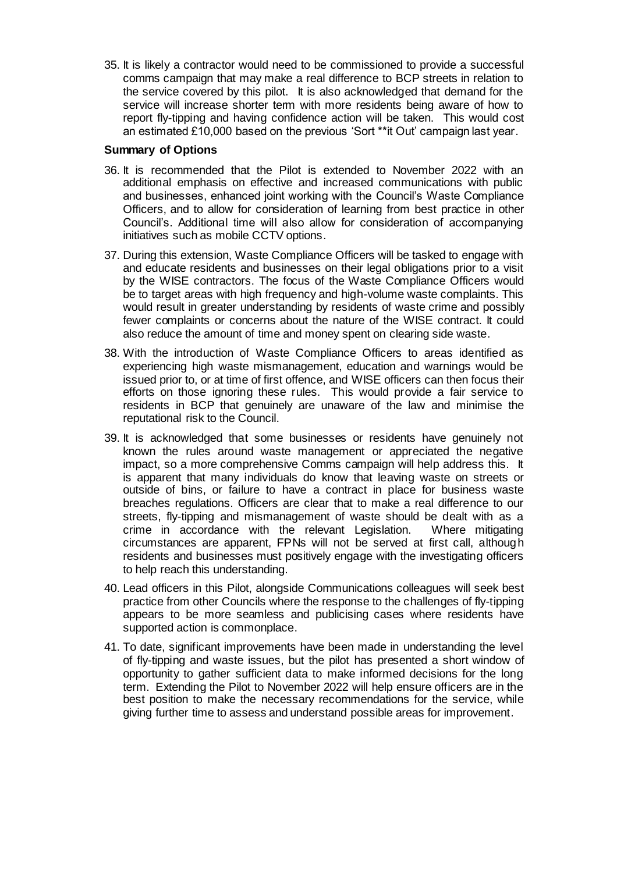35. It is likely a contractor would need to be commissioned to provide a successful comms campaign that may make a real difference to BCP streets in relation to the service covered by this pilot. It is also acknowledged that demand for the service will increase shorter term with more residents being aware of how to report fly-tipping and having confidence action will be taken. This would cost an estimated £10,000 based on the previous 'Sort \*\*it Out' campaign last year.

## **Summary of Options**

- 36. It is recommended that the Pilot is extended to November 2022 with an additional emphasis on effective and increased communications with public and businesses, enhanced joint working with the Council's Waste Compliance Officers, and to allow for consideration of learning from best practice in other Council's. Additional time will also allow for consideration of accompanying initiatives such as mobile CCTV options.
- 37. During this extension, Waste Compliance Officers will be tasked to engage with and educate residents and businesses on their legal obligations prior to a visit by the WISE contractors. The focus of the Waste Compliance Officers would be to target areas with high frequency and high-volume waste complaints. This would result in greater understanding by residents of waste crime and possibly fewer complaints or concerns about the nature of the WISE contract. It could also reduce the amount of time and money spent on clearing side waste.
- 38. With the introduction of Waste Compliance Officers to areas identified as experiencing high waste mismanagement, education and warnings would be issued prior to, or at time of first offence, and WISE officers can then focus their efforts on those ignoring these rules. This would provide a fair service to residents in BCP that genuinely are unaware of the law and minimise the reputational risk to the Council.
- 39. It is acknowledged that some businesses or residents have genuinely not known the rules around waste management or appreciated the negative impact, so a more comprehensive Comms campaign will help address this. It is apparent that many individuals do know that leaving waste on streets or outside of bins, or failure to have a contract in place for business waste breaches regulations. Officers are clear that to make a real difference to our streets, fly-tipping and mismanagement of waste should be dealt with as a crime in accordance with the relevant Legislation. Where mitigating circumstances are apparent, FPNs will not be served at first call, although residents and businesses must positively engage with the investigating officers to help reach this understanding.
- 40. Lead officers in this Pilot, alongside Communications colleagues will seek best practice from other Councils where the response to the challenges of fly-tipping appears to be more seamless and publicising cases where residents have supported action is commonplace.
- 41. To date, significant improvements have been made in understanding the level of fly-tipping and waste issues, but the pilot has presented a short window of opportunity to gather sufficient data to make informed decisions for the long term. Extending the Pilot to November 2022 will help ensure officers are in the best position to make the necessary recommendations for the service, while giving further time to assess and understand possible areas for improvement.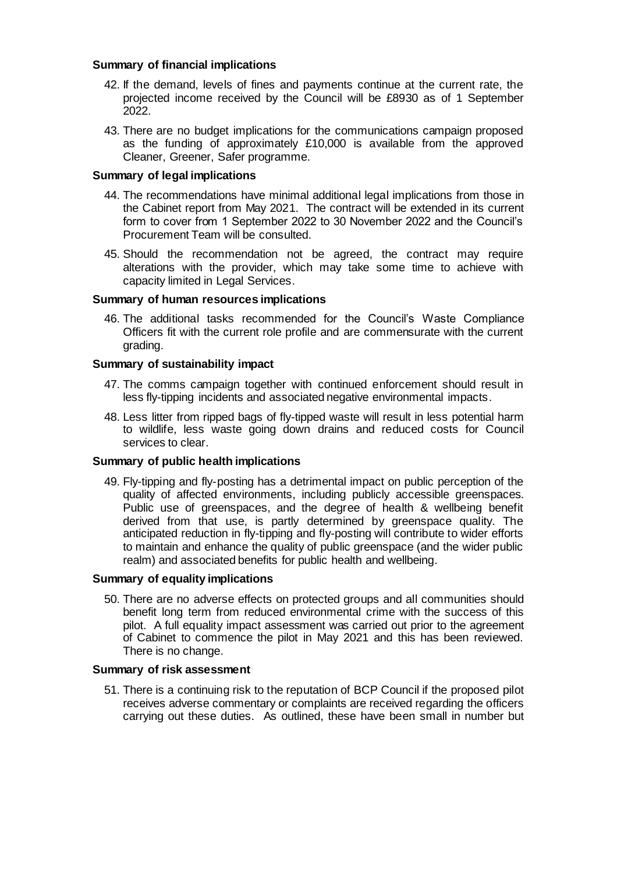## **Summary of financial implications**

- 42. If the demand, levels of fines and payments continue at the current rate, the projected income received by the Council will be £8930 as of 1 September 2022.
- 43. There are no budget implications for the communications campaign proposed as the funding of approximately £10,000 is available from the approved Cleaner, Greener, Safer programme.

## **Summary of legal implications**

- 44. The recommendations have minimal additional legal implications from those in the Cabinet report from May 2021. The contract will be extended in its current form to cover from 1 September 2022 to 30 November 2022 and the Council's Procurement Team will be consulted.
- 45. Should the recommendation not be agreed, the contract may require alterations with the provider, which may take some time to achieve with capacity limited in Legal Services.

## **Summary of human resources implications**

46. The additional tasks recommended for the Council's Waste Compliance Officers fit with the current role profile and are commensurate with the current grading.

#### **Summary of sustainability impact**

- 47. The comms campaign together with continued enforcement should result in less fly-tipping incidents and associated negative environmental impacts.
- 48. Less litter from ripped bags of fly-tipped waste will result in less potential harm to wildlife, less waste going down drains and reduced costs for Council services to clear.

#### **Summary of public health implications**

49. Fly-tipping and fly-posting has a detrimental impact on public perception of the quality of affected environments, including publicly accessible greenspaces. Public use of greenspaces, and the degree of health & wellbeing benefit derived from that use, is partly determined by greenspace quality. The anticipated reduction in fly-tipping and fly-posting will contribute to wider efforts to maintain and enhance the quality of public greenspace (and the wider public realm) and associated benefits for public health and wellbeing.

#### **Summary of equality implications**

50. There are no adverse effects on protected groups and all communities should benefit long term from reduced environmental crime with the success of this pilot. A full equality impact assessment was carried out prior to the agreement of Cabinet to commence the pilot in May 2021 and this has been reviewed. There is no change.

## **Summary of risk assessment**

51. There is a continuing risk to the reputation of BCP Council if the proposed pilot receives adverse commentary or complaints are received regarding the officers carrying out these duties. As outlined, these have been small in number but